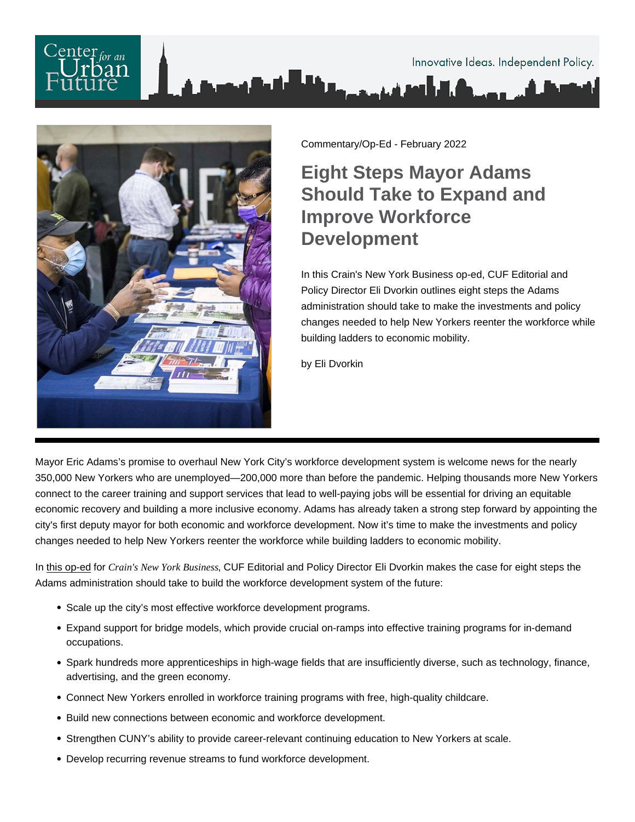

Commentary/Op-Ed - February 2022

## Eight Steps Mayor Adams Should Take to Expand and Improve Workforce Development

In this Crain's New York Business op-ed, CUF Editorial and Policy Director Eli Dvorkin outlines eight steps the Adams administration should take to make the investments and policy changes needed to help New Yorkers reenter the workforce while building ladders to economic mobility.

by Eli Dvorkin

Mayor Eric Adams's promise to overhaul New York City's workforce development system is welcome news for the nearly 350,000 New Yorkers who are unemployed—200,000 more than before the pandemic. Helping thousands more New Yorkers connect to the career training and support services that lead to well-paying jobs will be essential for driving an equitable economic recovery and building a more inclusive economy. Adams has already taken a strong step forward by appointing the city's first deputy mayor for both economic and workforce development. Now it's time to make the investments and policy changes needed to help New Yorkers reenter the workforce while building ladders to economic mobility.

In [this op-ed](https://www.crainsnewyork.com/op-ed/op-ed-how-new-york-city-can-improve-workforce-development) for Crain's New York Busines SUF Editorial and Policy Director Eli Dvorkin makes the case for eight steps the Adams administration should take to build the workforce development system of the future:

- Scale up the city's most effective workforce development programs.
- Expand support for bridge models, which provide crucial on-ramps into effective training programs for in-demand occupations.
- Spark hundreds more apprenticeships in high-wage fields that are insufficiently diverse, such as technology, finance, advertising, and the green economy.
- Connect New Yorkers enrolled in workforce training programs with free, high-quality childcare.
- Build new connections between economic and workforce development.
- Strengthen CUNY's ability to provide career-relevant continuing education to New Yorkers at scale.
- Develop recurring revenue streams to fund workforce development.